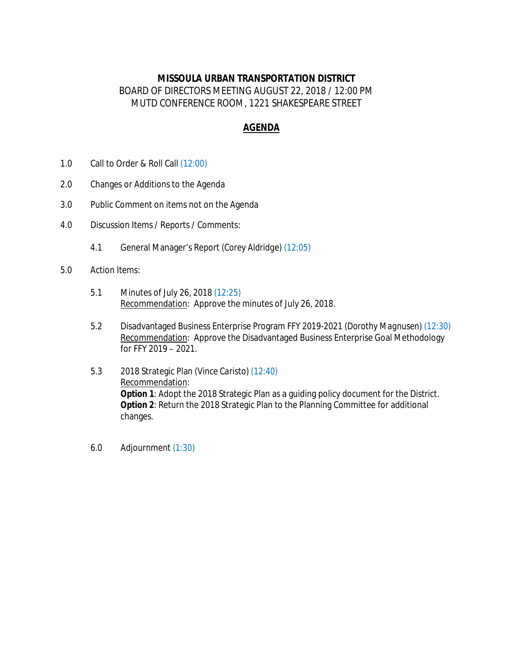## **MISSOULA URBAN TRANSPORTATION DISTRICT** BOARD OF DIRECTORS MEETING AUGUST 22, 2018 / 12:00 PM MUTD CONFERENCE ROOM, 1221 SHAKESPEARE STREET

## **AGENDA**

- 1.0 Call to Order & Roll Call *(12:00)*
- 2.0 Changes or Additions to the Agenda
- 3.0 Public Comment on items not on the Agenda
- 4.0 Discussion Items / Reports / Comments:
	- 4.1 General Manager's Report *(Corey Aldridge) (12:05)*
- 5.0 Action Items:
	- 5.1 Minutes of July 26, 2018 *(12:25)* Recommendation: Approve the minutes of July 26, 2018.
	- 5.2 Disadvantaged Business Enterprise Program FFY 2019-2021 *(Dorothy Magnusen) (12:30)* Recommendation: Approve the Disadvantaged Business Enterprise Goal Methodology for FFY 2019 – 2021.
	- 5.3 2018 Strategic Plan *(Vince Caristo) (12:40)* Recommendation: **Option 1**: Adopt the 2018 Strategic Plan as a guiding policy document for the District. **Option 2**: Return the 2018 Strategic Plan to the Planning Committee for additional changes.
	- 6.0 Adjournment *(1:30)*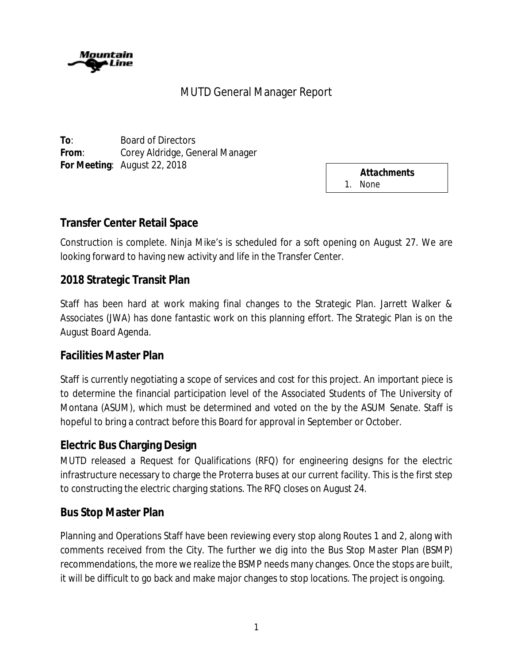

# MUTD General Manager Report

**To**: Board of Directors **From**: Corey Aldridge, General Manager **For Meeting**: August 22, 2018

*Attachments* 1. None

# **Transfer Center Retail Space**

Construction is complete. Ninja Mike's is scheduled for a soft opening on August 27. We are looking forward to having new activity and life in the Transfer Center.

# **2018 Strategic Transit Plan**

Staff has been hard at work making final changes to the Strategic Plan. Jarrett Walker & Associates (JWA) has done fantastic work on this planning effort. The Strategic Plan is on the August Board Agenda.

## **Facilities Master Plan**

Staff is currently negotiating a scope of services and cost for this project. An important piece is to determine the financial participation level of the Associated Students of The University of Montana (ASUM), which must be determined and voted on the by the ASUM Senate. Staff is hopeful to bring a contract before this Board for approval in September or October.

## **Electric Bus Charging Design**

MUTD released a Request for Qualifications (RFQ) for engineering designs for the electric infrastructure necessary to charge the Proterra buses at our current facility. This is the first step to constructing the electric charging stations. The RFQ closes on August 24.

## **Bus Stop Master Plan**

Planning and Operations Staff have been reviewing every stop along Routes 1 and 2, along with comments received from the City. The further we dig into the Bus Stop Master Plan (BSMP) recommendations, the more we realize the BSMP needs many changes. Once the stops are built, it will be difficult to go back and make major changes to stop locations. The project is ongoing.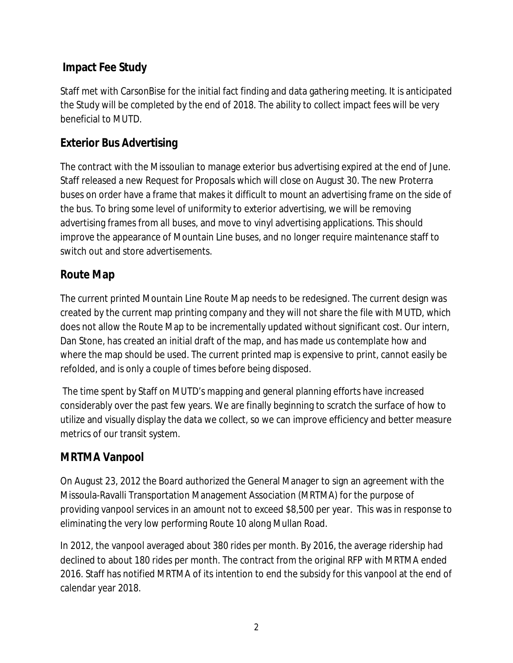# **Impact Fee Study**

Staff met with CarsonBise for the initial fact finding and data gathering meeting. It is anticipated the Study will be completed by the end of 2018. The ability to collect impact fees will be very beneficial to MUTD.

# **Exterior Bus Advertising**

The contract with the Missoulian to manage exterior bus advertising expired at the end of June. Staff released a new Request for Proposals which will close on August 30. The new Proterra buses on order have a frame that makes it difficult to mount an advertising frame on the side of the bus. To bring some level of uniformity to exterior advertising, we will be removing advertising frames from all buses, and move to vinyl advertising applications. This should improve the appearance of Mountain Line buses, and no longer require maintenance staff to switch out and store advertisements.

# **Route Map**

The current printed Mountain Line Route Map needs to be redesigned. The current design was created by the current map printing company and they will not share the file with MUTD, which does not allow the Route Map to be incrementally updated without significant cost. Our intern, Dan Stone, has created an initial draft of the map, and has made us contemplate how and where the map should be used. The current printed map is expensive to print, cannot easily be refolded, and is only a couple of times before being disposed.

The time spent by Staff on MUTD's mapping and general planning efforts have increased considerably over the past few years. We are finally beginning to scratch the surface of how to utilize and visually display the data we collect, so we can improve efficiency and better measure metrics of our transit system.

# **MRTMA Vanpool**

On August 23, 2012 the Board authorized the General Manager to sign an agreement with the Missoula-Ravalli Transportation Management Association (MRTMA) for the purpose of providing vanpool services in an amount not to exceed \$8,500 per year. This was in response to eliminating the very low performing Route 10 along Mullan Road.

In 2012, the vanpool averaged about 380 rides per month. By 2016, the average ridership had declined to about 180 rides per month. The contract from the original RFP with MRTMA ended 2016. Staff has notified MRTMA of its intention to end the subsidy for this vanpool at the end of calendar year 2018.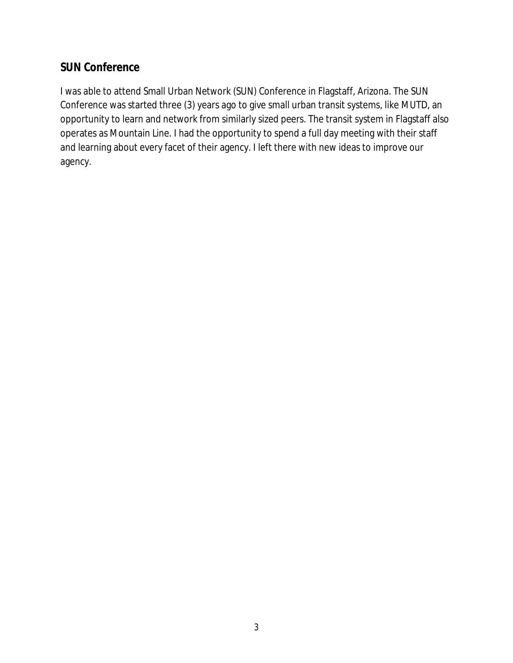# **SUN Conference**

I was able to attend Small Urban Network (SUN) Conference in Flagstaff, Arizona. The SUN Conference was started three (3) years ago to give small urban transit systems, like MUTD, an opportunity to learn and network from similarly sized peers. The transit system in Flagstaff also operates as Mountain Line. I had the opportunity to spend a full day meeting with their staff and learning about every facet of their agency. I left there with new ideas to improve our agency.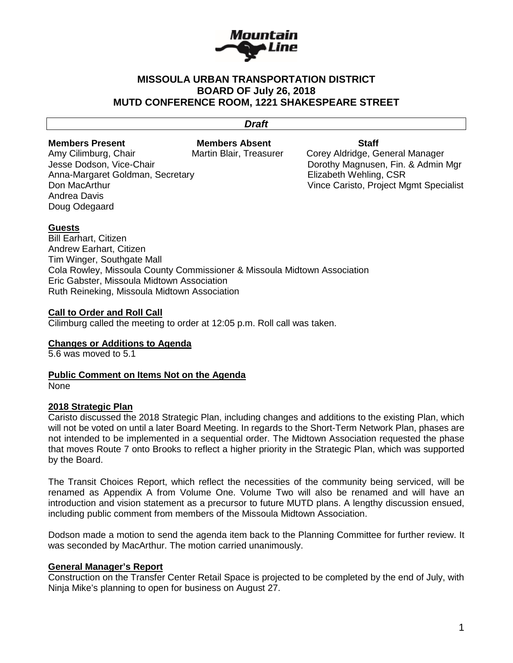

### **MISSOULA URBAN TRANSPORTATION DISTRICT BOARD OF July 26, 2018 MUTD CONFERENCE ROOM, 1221 SHAKESPEARE STREET**

# *Draft*

**Members Present Members Absent Staff**

Amy Cilimburg, Chair **Martin Blair, Treasurer** Corey Aldridge, General Manager Anna-Margaret Goldman, Secretary **Elizabeth Wehling, CSR**<br>Don MacArthur<br>Vince Caristo. Proiect M Andrea Davis Doug Odegaard

Jesse Dodson, Vice-Chair **Domestian Construction Construction** Dorothy Magnusen, Fin. & Admin Mgr Vince Caristo, Project Mgmt Specialist

### **Guests**

Bill Earhart, Citizen Andrew Earhart, Citizen Tim Winger, Southgate Mall Cola Rowley, Missoula County Commissioner & Missoula Midtown Association Eric Gabster, Missoula Midtown Association Ruth Reineking, Missoula Midtown Association

#### **Call to Order and Roll Call**

Cilimburg called the meeting to order at 12:05 p.m. Roll call was taken.

**Changes or Additions to Agenda**

5.6 was moved to 5.1

**Public Comment on Items Not on the Agenda** None

### **2018 Strategic Plan**

Caristo discussed the 2018 Strategic Plan, including changes and additions to the existing Plan, which will not be voted on until a later Board Meeting. In regards to the Short-Term Network Plan, phases are not intended to be implemented in a sequential order. The Midtown Association requested the phase that moves Route 7 onto Brooks to reflect a higher priority in the Strategic Plan, which was supported by the Board.

The Transit Choices Report, which reflect the necessities of the community being serviced, will be renamed as Appendix A from Volume One. Volume Two will also be renamed and will have an introduction and vision statement as a precursor to future MUTD plans. A lengthy discussion ensued, including public comment from members of the Missoula Midtown Association.

Dodson made a motion to send the agenda item back to the Planning Committee for further review. It was seconded by MacArthur. The motion carried unanimously.

#### **General Manager's Report**

Construction on the Transfer Center Retail Space is projected to be completed by the end of July, with Ninja Mike's planning to open for business on August 27.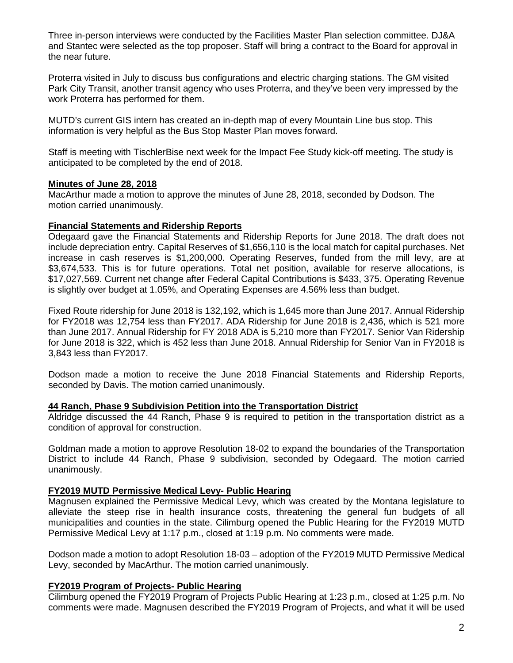Three in-person interviews were conducted by the Facilities Master Plan selection committee. DJ&A and Stantec were selected as the top proposer. Staff will bring a contract to the Board for approval in the near future.

Proterra visited in July to discuss bus configurations and electric charging stations. The GM visited Park City Transit, another transit agency who uses Proterra, and they've been very impressed by the work Proterra has performed for them.

MUTD's current GIS intern has created an in-depth map of every Mountain Line bus stop. This information is very helpful as the Bus Stop Master Plan moves forward.

Staff is meeting with TischlerBise next week for the Impact Fee Study kick-off meeting. The study is anticipated to be completed by the end of 2018.

#### **Minutes of June 28, 2018**

MacArthur made a motion to approve the minutes of June 28, 2018, seconded by Dodson. The motion carried unanimously.

#### **Financial Statements and Ridership Reports**

Odegaard gave the Financial Statements and Ridership Reports for June 2018. The draft does not include depreciation entry. Capital Reserves of \$1,656,110 is the local match for capital purchases. Net increase in cash reserves is \$1,200,000. Operating Reserves, funded from the mill levy, are at \$3,674,533. This is for future operations. Total net position, available for reserve allocations, is \$17,027,569. Current net change after Federal Capital Contributions is \$433, 375. Operating Revenue is slightly over budget at 1.05%, and Operating Expenses are 4.56% less than budget.

Fixed Route ridership for June 2018 is 132,192, which is 1,645 more than June 2017. Annual Ridership for FY2018 was 12,754 less than FY2017. ADA Ridership for June 2018 is 2,436, which is 521 more than June 2017. Annual Ridership for FY 2018 ADA is 5,210 more than FY2017. Senior Van Ridership for June 2018 is 322, which is 452 less than June 2018. Annual Ridership for Senior Van in FY2018 is 3,843 less than FY2017.

Dodson made a motion to receive the June 2018 Financial Statements and Ridership Reports, seconded by Davis. The motion carried unanimously.

#### **44 Ranch, Phase 9 Subdivision Petition into the Transportation District**

Aldridge discussed the 44 Ranch, Phase 9 is required to petition in the transportation district as a condition of approval for construction.

Goldman made a motion to approve Resolution 18-02 to expand the boundaries of the Transportation District to include 44 Ranch, Phase 9 subdivision, seconded by Odegaard. The motion carried unanimously.

### **FY2019 MUTD Permissive Medical Levy- Public Hearing**

Magnusen explained the Permissive Medical Levy, which was created by the Montana legislature to alleviate the steep rise in health insurance costs, threatening the general fun budgets of all municipalities and counties in the state. Cilimburg opened the Public Hearing for the FY2019 MUTD Permissive Medical Levy at 1:17 p.m., closed at 1:19 p.m. No comments were made.

Dodson made a motion to adopt Resolution 18-03 – adoption of the FY2019 MUTD Permissive Medical Levy, seconded by MacArthur. The motion carried unanimously.

### **FY2019 Program of Projects- Public Hearing**

Cilimburg opened the FY2019 Program of Projects Public Hearing at 1:23 p.m., closed at 1:25 p.m. No comments were made. Magnusen described the FY2019 Program of Projects, and what it will be used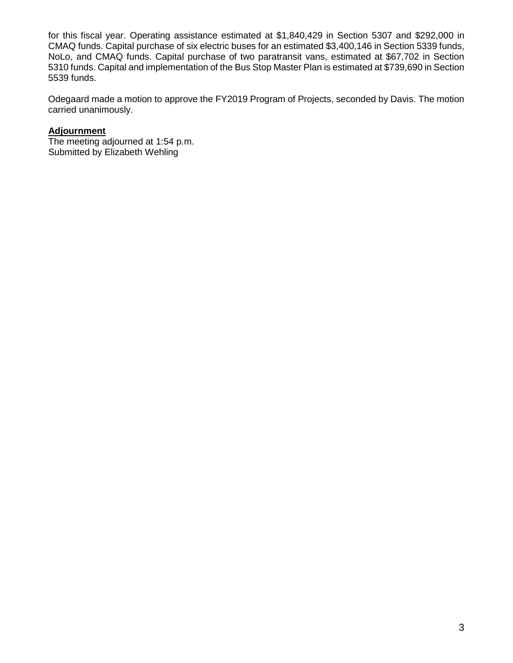for this fiscal year. Operating assistance estimated at \$1,840,429 in Section 5307 and \$292,000 in CMAQ funds. Capital purchase of six electric buses for an estimated \$3,400,146 in Section 5339 funds, NoLo, and CMAQ funds. Capital purchase of two paratransit vans, estimated at \$67,702 in Section 5310 funds. Capital and implementation of the Bus Stop Master Plan is estimated at \$739,690 in Section 5539 funds.

Odegaard made a motion to approve the FY2019 Program of Projects, seconded by Davis. The motion carried unanimously.

## **Adjournment**

The meeting adjourned at 1:54 p.m. Submitted by Elizabeth Wehling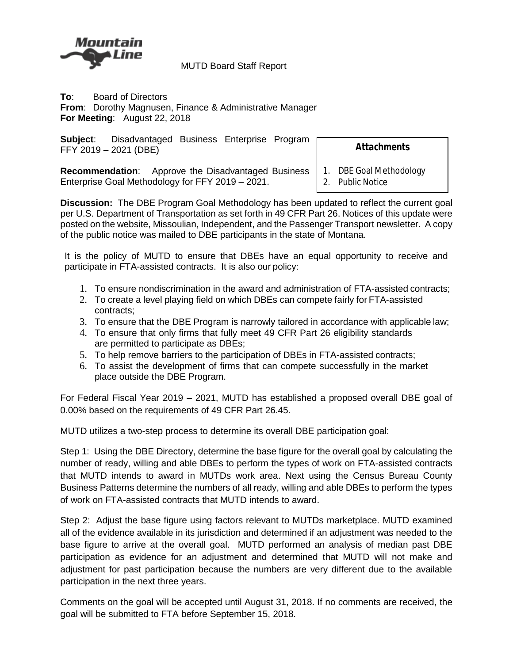

MUTD Board Staff Report

**To**: Board of Directors **From**: Dorothy Magnusen, Finance & Administrative Manager **For Meeting**: August 22, 2018

| Subject: | Disadvantaged Business Enterprise Program |  |  |
|----------|-------------------------------------------|--|--|
|          | FFY 2019 - 2021 (DBE)                     |  |  |

*Attachments*

**Recommendation**: Approve the Disadvantaged Business Enterprise Goal Methodology for FFY 2019 – 2021.

1. DBE Goal Methodology

2. Public Notice

**Discussion:** The DBE Program Goal Methodology has been updated to reflect the current goal per U.S. Department of Transportation as set forth in 49 CFR Part 26. Notices of this update were posted on the website, Missoulian, Independent, and the Passenger Transport newsletter. A copy of the public notice was mailed to DBE participants in the state of Montana.

It is the policy of MUTD to ensure that DBEs have an equal opportunity to receive and participate in FTA-assisted contracts. It is also our policy:

- 1. To ensure nondiscrimination in the award and administration of FTA-assisted contracts;
- 2. To create a level playing field on which DBEs can compete fairly for FTA-assisted contracts;
- 3. To ensure that the DBE Program is narrowly tailored in accordance with applicable law;
- 4. To ensure that only firms that fully meet 49 CFR Part 26 eligibility standards are permitted to participate as DBEs;
- 5. To help remove barriers to the participation of DBEs in FTA-assisted contracts;
- 6. To assist the development of firms that can compete successfully in the market place outside the DBE Program.

For Federal Fiscal Year 2019 – 2021, MUTD has established a proposed overall DBE goal of 0.00% based on the requirements of 49 CFR Part 26.45.

MUTD utilizes a two-step process to determine its overall DBE participation goal:

Step 1: Using the DBE Directory, determine the base figure for the overall goal by calculating the number of ready, willing and able DBEs to perform the types of work on FTA-assisted contracts that MUTD intends to award in MUTDs work area. Next using the Census Bureau County Business Patterns determine the numbers of all ready, willing and able DBEs to perform the types of work on FTA-assisted contracts that MUTD intends to award.

Step 2: Adjust the base figure using factors relevant to MUTDs marketplace. MUTD examined all of the evidence available in its jurisdiction and determined if an adjustment was needed to the base figure to arrive at the overall goal. MUTD performed an analysis of median past DBE participation as evidence for an adjustment and determined that MUTD will not make and adjustment for past participation because the numbers are very different due to the available participation in the next three years.

Comments on the goal will be accepted until August 31, 2018. If no comments are received, the goal will be submitted to FTA before September 15, 2018.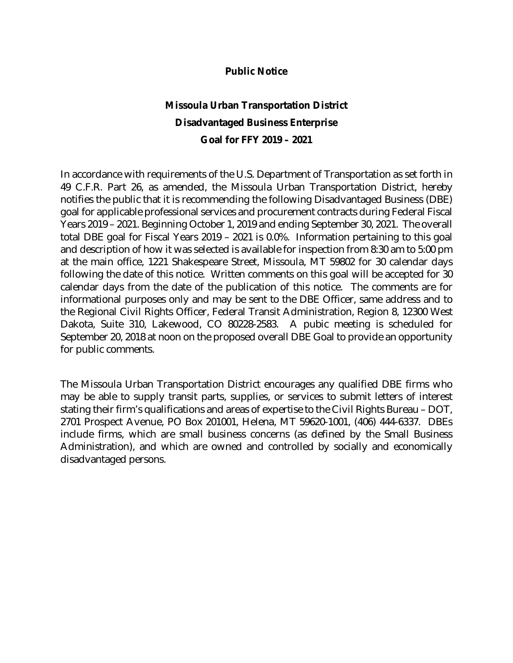## **Public Notice**

# **Missoula Urban Transportation District Disadvantaged Business Enterprise Goal for FFY 2019 – 2021**

In accordance with requirements of the U.S. Department of Transportation as set forth in 49 C.F.R. Part 26, as amended, the Missoula Urban Transportation District, hereby notifies the public that it is recommending the following Disadvantaged Business (DBE) goal for applicable professional services and procurement contracts during Federal Fiscal Years 2019 – 2021. Beginning October 1, 2019 and ending September 30, 2021. The overall total DBE goal for Fiscal Years 2019 – 2021 is 0.0%. Information pertaining to this goal and description of how it was selected is available for inspection from 8:30 am to 5:00 pm at the main office, 1221 Shakespeare Street, Missoula, MT 59802 for 30 calendar days following the date of this notice. Written comments on this goal will be accepted for 30 calendar days from the date of the publication of this notice. The comments are for informational purposes only and may be sent to the DBE Officer, same address and to the Regional Civil Rights Officer, Federal Transit Administration, Region 8, 12300 West Dakota, Suite 310, Lakewood, CO 80228-2583. A pubic meeting is scheduled for September 20, 2018 at noon on the proposed overall DBE Goal to provide an opportunity for public comments.

The Missoula Urban Transportation District encourages any qualified DBE firms who may be able to supply transit parts, supplies, or services to submit letters of interest stating their firm's qualifications and areas of expertise to the Civil Rights Bureau – DOT, 2701 Prospect Avenue, PO Box 201001, Helena, MT 59620-1001, (406) 444-6337. DBEs include firms, which are small business concerns (as defined by the Small Business Administration), and which are owned and controlled by socially and economically disadvantaged persons.